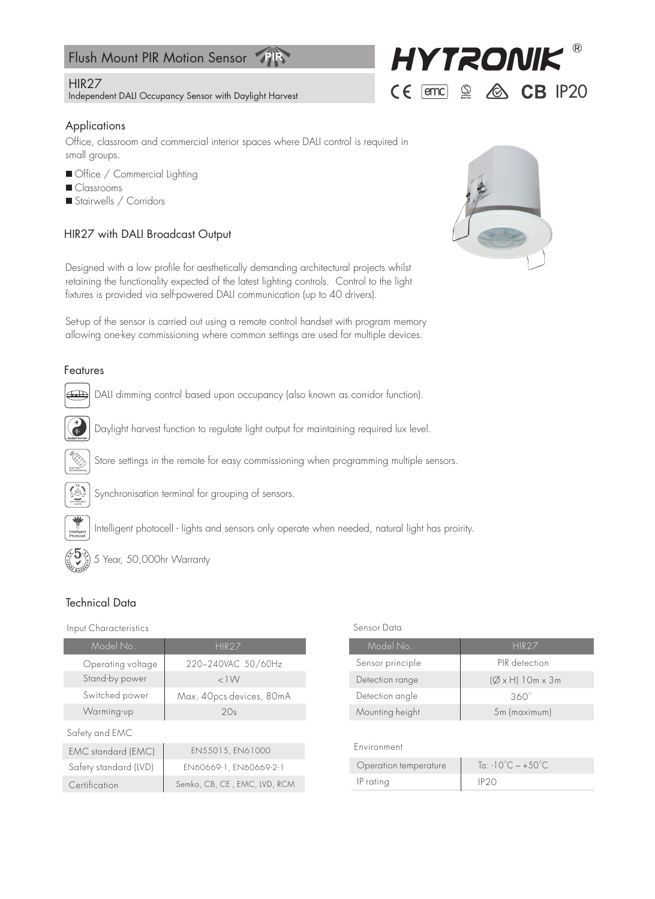#### Flush Mount PIR Motion Sensor **PIR**

# HIR<sub>27</sub>

Independent DALI Occupancy Sensor with Daylight Harvest

# **Applications**

Office, classroom and commercial interior spaces where DALI control is required in small groups.

- Office / Commercial Lighting
- Classrooms
- Stairwells / Corridors

# HIR27 with DALI Broadcast Output

Designed with a low profile for aesthetically demanding architectural projects whilst retaining the functionality expected of the latest lighting controls. Control to the light fixtures is provided via self-powered DALI communication (up to 40 drivers).

Set-up of the sensor is carried out using a remote control handset with program memory allowing one-key commissioning where common settings are used for multiple devices.

# Features



DALI dimming control based upon occupancy (also known as corridor function).

Daylight harvest function to regulate light output for maintaining required lux level.

Store settings in the remote for easy commissioning when programming multiple sensors.



Commissioning

Synchronisation terminal for grouping of sensors.





# Technical Data

# Input Characteristics

| Model No.             | HIR <sub>27</sub>            |
|-----------------------|------------------------------|
| Operating voltage     | 220~240VAC 50/60Hz           |
| Stand-by power        | $<$ 1 W                      |
| Switched power        | Max. 40pcs devices, 80mA     |
| Warming-up            | 20s                          |
| Safety and EMC        |                              |
| EMC standard (EMC)    | EN55015, EN61000             |
| Safety standard (LVD) | EN60669-1, EN60669-2-1       |
| Certification         | Semko, CB, CE, EMC, LVD, RCM |

# Sensor Data

| Model No.        | HIR <sub>27</sub>               |
|------------------|---------------------------------|
| Sensor principle | PIR detection                   |
| Detection range  | $(\emptyset \times H)$ 10m x 3m |
| Detection angle  | $360^\circ$                     |
| Mounting height  | 5m (maximum)                    |

# Environment

| Operation temperature | $\text{Iq}:10^{\circ}\text{C}\sim+50^{\circ}\text{C}$ |
|-----------------------|-------------------------------------------------------|
| IP rating             |                                                       |



 $CE$   $\cong$   $\otimes$   $CB$  IP20

**HYTRONIK**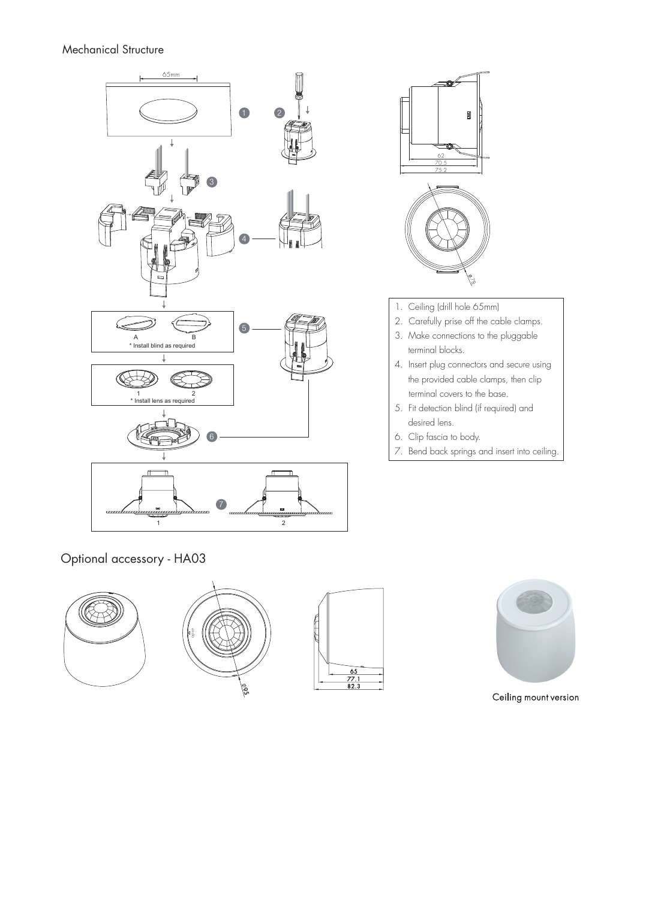# Mechanical Structure





- 1. Ceiling (drill hole 65mm)
- 2. Carefully prise off the cable clamps.
- 3. Make connections to the pluggable terminal blocks.
- 4. Insert plug connectors and secure using the provided cable clamps, then clip terminal covers to the base.
- 5. Fit detection blind (if required) and desired lens.
- 6. Clip fascia to body.
- 7. Bend back springs and insert into ceiling.

Optional accessory - HA03



1 2



Ceiling mount version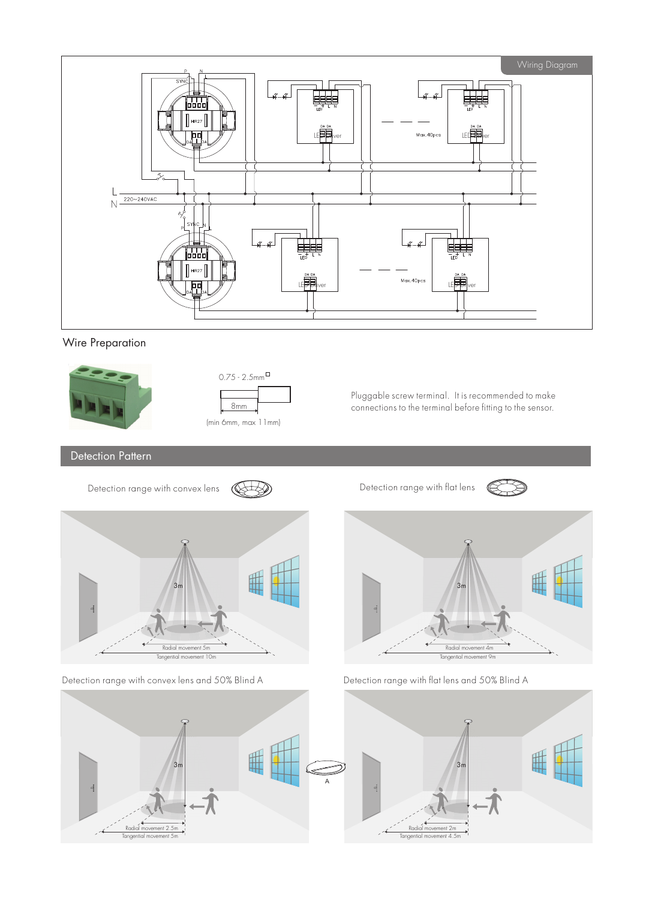

# Wire Preparation





Pluggable screw terminal. It is recommended to make connections to the terminal before fitting to the sensor.

Detection Pattern

Detection range with convex lens  $\overline{\text{Exp}}$  Detection range with flat lens



Tangential movement 10m Radial movement 5m







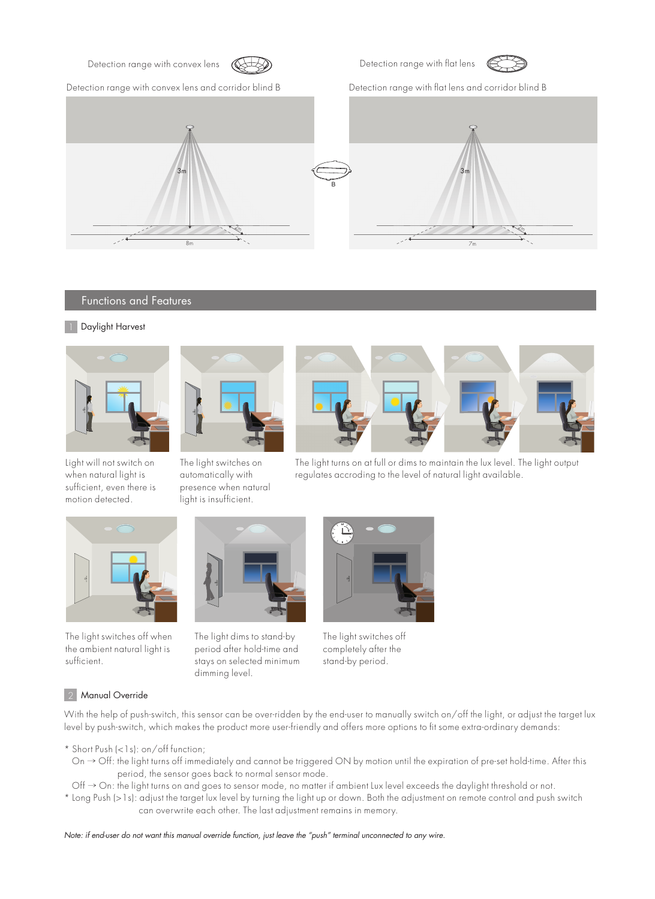Detection range with convex lens  $\left(\overline{\bigotimes \bigoplus \bigotimes}$  Detection range with flat lens





Detection range with convex lens and corridor blind B Detection range with flat lens and corridor blind B



The light switches on automatically with presence when natural light is insufficient.



# Functions and Features

# Daylight Harvest 1



Light will not switch on when natural light is sufficient, even there is motion detected.



The light switches off when the ambient natural light is sufficient.

# 2 Manual Override

With the help of push-switch, this sensor can be over-ridden by the end-user to manually switch on/off the light, or adjust the target lux level by push-switch, which makes the product more user-friendly and offers more options to fit some extra-ordinary demands:

- \* Short Push (<1s): on/off function;
	- On → Off: the light turns off immediately and cannot be triggered ON by motion until the expiration of pre-set hold-time. After this period, the sensor goes back to normal sensor mode.
- Off → On: the light turns on and goes to sensor mode, no matter if ambient Lux level exceeds the daylight threshold or not.
- \* Long Push (>1s): adjust the target lux level by turning the light up or down. Both the adjustment on remote control and push switch can overwrite each other. The last adjustment remains in memory.

*Note: if end-user do not want this manual override function, just leave the "push" terminal unconnected to any wire.*

The light dims to stand-by period after hold-time and stays on selected minimum

dimming level.



The light turns on at full or dims to maintain the lux level. The light output regulates accroding to the level of natural light available.



The light switches off completely after the stand-by period.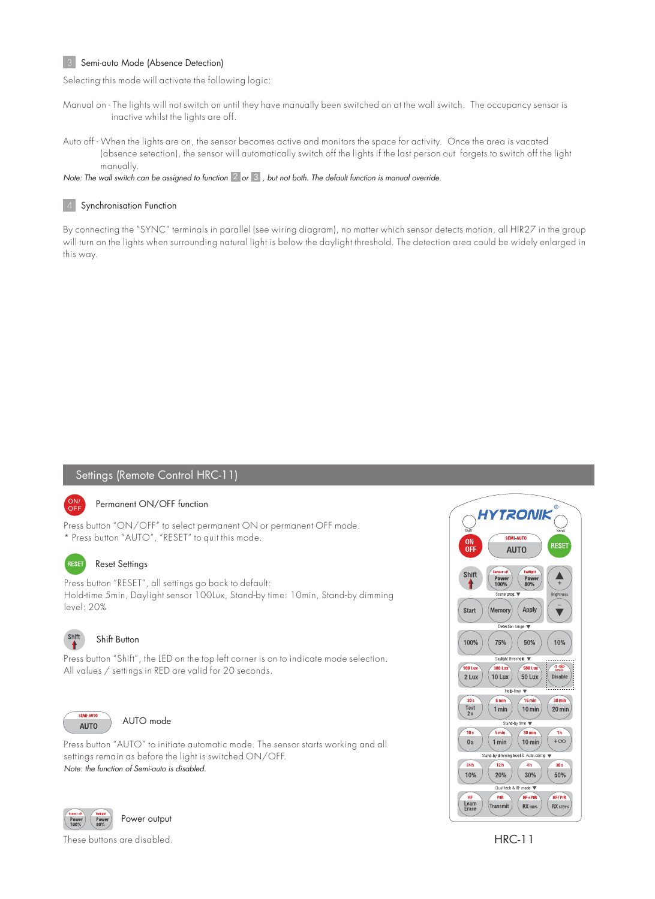## 3 Semi-auto Mode (Absence Detection)

Selecting this mode will activate the following logic:

- Manual on The lights will not switch on until they have manually been switched on at the wall switch. The occupancy sensor is inactive whilst the lights are off.
- Auto off When the lights are on, the sensor becomes active and monitors the space for activity. Once the area is vacated (absence setection), the sensor will automatically switch off the lights if the last person out forgets to switch off the light manually.
- *Note: The wall switch can be assigned to function* 2 or 3, but not both. The default function is manual override.

#### 4 Synchronisation Function

By connecting the "SYNC" terminals in parallel (see wiring diagram), no matter which sensor detects motion, all HIR27 in the group will turn on the lights when surrounding natural light is below the daylight threshold. The detection area could be widely enlarged in this way.

# Settings (Remote Control HRC-11)



# Permanent ON/OFF function

Press button "ON/OFF" to select permanent ON or permanent OFF mode. \* Press button "AUTO", "RESET" to quit this mode.

# Reset Settings

Press button "RESET", all settings go back to default: Hold-time 5min, Daylight sensor 100Lux, Stand-by time: 10min, Stand-by dimming level: 20%



# Shift Button

Press button "Shift", the LED on the top left corner is on to indicate mode selection. All values / settings in RED are valid for 20 seconds.



#### AUTO mode

Press button "AUTO" to initiate automatic mode. The sensor starts working and all settings remain as before the light is switched ON/OFF. *Note: the function of Semi-auto is disabled.*



These buttons are disabled.